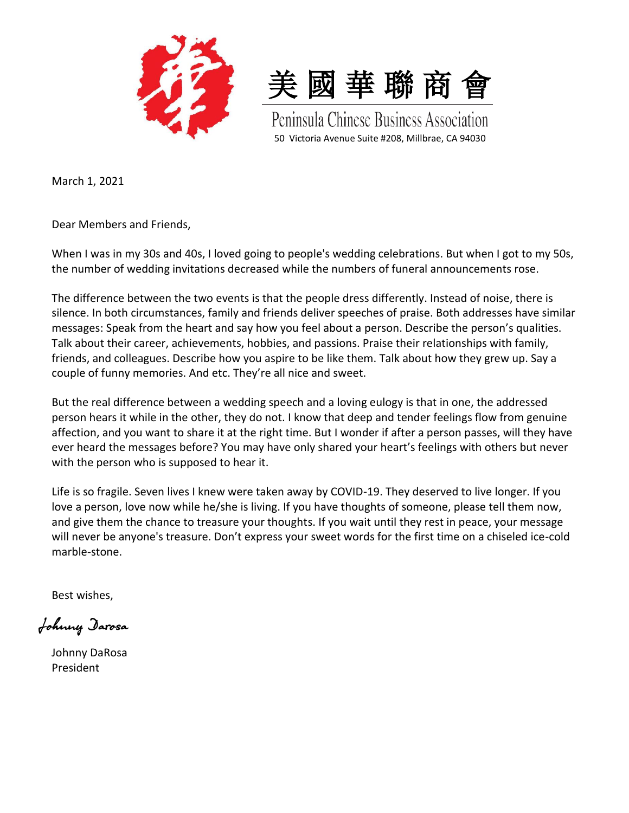



Peninsula Chinese Business Association 50 Victoria Avenue Suite #208, Millbrae, CA 94030

March 1, 2021

Dear Members and Friends,

When I was in my 30s and 40s, I loved going to people's wedding celebrations. But when I got to my 50s, the number of wedding invitations decreased while the numbers of funeral announcements rose.

The difference between the two events is that the people dress differently. Instead of noise, there is silence. In both circumstances, family and friends deliver speeches of praise. Both addresses have similar messages: Speak from the heart and say how you feel about a person. Describe the person's qualities. Talk about their career, achievements, hobbies, and passions. Praise their relationships with family, friends, and colleagues. Describe how you aspire to be like them. Talk about how they grew up. Say a couple of funny memories. And etc. They're all nice and sweet.

But the real difference between a wedding speech and a loving eulogy is that in one, the addressed person hears it while in the other, they do not. I know that deep and tender feelings flow from genuine affection, and you want to share it at the right time. But I wonder if after a person passes, will they have ever heard the messages before? You may have only shared your heart's feelings with others but never with the person who is supposed to hear it.

Life is so fragile. Seven lives I knew were taken away by COVID-19. They deserved to live longer. If you love a person, love now while he/she is living. If you have thoughts of someone, please tell them now, and give them the chance to treasure your thoughts. If you wait until they rest in peace, your message will never be anyone's treasure. Don't express your sweet words for the first time on a chiseled ice-cold marble-stone.

Best wishes,

Johnny Darosa

Johnny DaRosa President